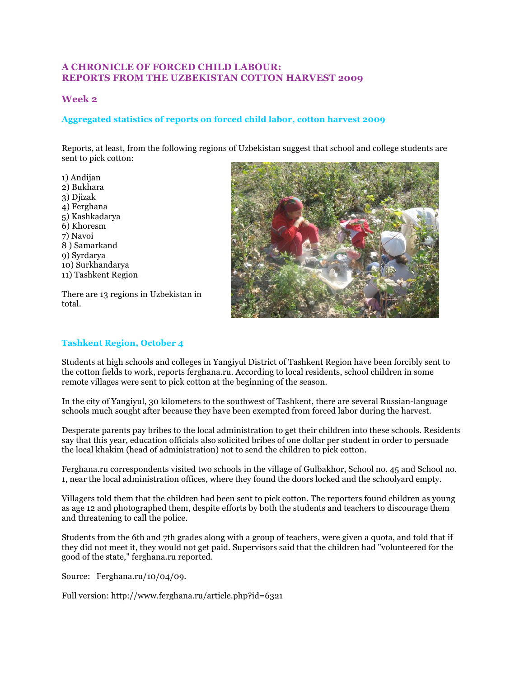# **A CHRONICLE OF FORCED CHILD LABOUR: REPORTS FROM THE UZBEKISTAN COTTON HARVEST 2009**

# **Week 2**

# **Aggregated statistics of reports on forced child labor, cotton harvest 2009**

Reports, at least, from the following regions of Uzbekistan suggest that school and college students are sent to pick cotton:

1) Andijan 2) Bukhara 3) Djizak 4) Ferghana 5) Kashkadarya 6) Khoresm 7) Navoi 8 ) Samarkand 9) Syrdarya 10) Surkhandarya 11) Tashkent Region

There are 13 regions in Uzbekistan in total.



## **Tashkent Region, October 4**

Students at high schools and colleges in Yangiyul District of Tashkent Region have been forcibly sent to the cotton fields to work, reports ferghana.ru. According to local residents, school children in some remote villages were sent to pick cotton at the beginning of the season.

In the city of Yangiyul, 30 kilometers to the southwest of Tashkent, there are several Russian-language schools much sought after because they have been exempted from forced labor during the harvest.

Desperate parents pay bribes to the local administration to get their children into these schools. Residents say that this year, education officials also solicited bribes of one dollar per student in order to persuade the local khakim (head of administration) not to send the children to pick cotton.

Ferghana.ru correspondents visited two schools in the village of Gulbakhor, School no. 45 and School no. 1, near the local administration offices, where they found the doors locked and the schoolyard empty.

Villagers told them that the children had been sent to pick cotton. The reporters found children as young as age 12 and photographed them, despite efforts by both the students and teachers to discourage them and threatening to call the police.

Students from the 6th and 7th grades along with a group of teachers, were given a quota, and told that if they did not meet it, they would not get paid. Supervisors said that the children had "volunteered for the good of the state," ferghana.ru reported.

Source: Ferghana.ru/10/04/09.

Full version: http://www.ferghana.ru/article.php?id=6321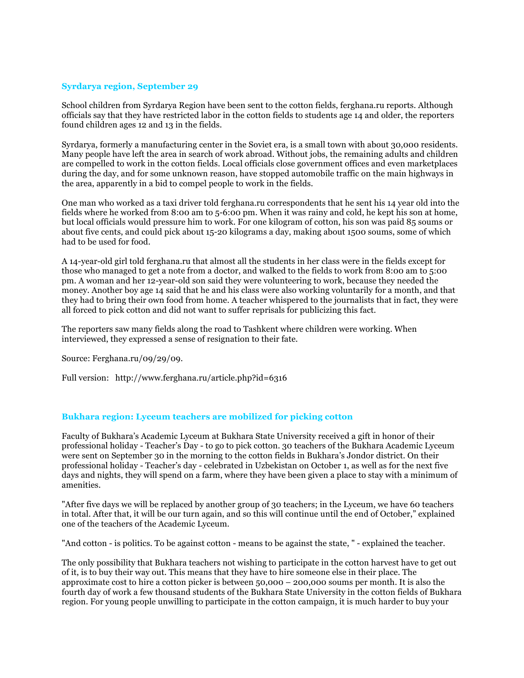### **Syrdarya region, September 29**

School children from Syrdarya Region have been sent to the cotton fields, ferghana.ru reports. Although officials say that they have restricted labor in the cotton fields to students age 14 and older, the reporters found children ages 12 and 13 in the fields.

Syrdarya, formerly a manufacturing center in the Soviet era, is a small town with about 30,000 residents. Many people have left the area in search of work abroad. Without jobs, the remaining adults and children are compelled to work in the cotton fields. Local officials close government offices and even marketplaces during the day, and for some unknown reason, have stopped automobile traffic on the main highways in the area, apparently in a bid to compel people to work in the fields.

One man who worked as a taxi driver told ferghana.ru correspondents that he sent his 14 year old into the fields where he worked from 8:00 am to 5-6:00 pm. When it was rainy and cold, he kept his son at home, but local officials would pressure him to work. For one kilogram of cotton, his son was paid 85 soums or about five cents, and could pick about 15-20 kilograms a day, making about 1500 soums, some of which had to be used for food.

A 14-year-old girl told ferghana.ru that almost all the students in her class were in the fields except for those who managed to get a note from a doctor, and walked to the fields to work from 8:00 am to 5:00 pm. A woman and her 12-year-old son said they were volunteering to work, because they needed the money. Another boy age 14 said that he and his class were also working voluntarily for a month, and that they had to bring their own food from home. A teacher whispered to the journalists that in fact, they were all forced to pick cotton and did not want to suffer reprisals for publicizing this fact.

The reporters saw many fields along the road to Tashkent where children were working. When interviewed, they expressed a sense of resignation to their fate.

Source: Ferghana.ru/09/29/09.

Full version: http://www.ferghana.ru/article.php?id=6316

### **Bukhara region: Lyceum teachers are mobilized for picking cotton**

Faculty of Bukhara's Academic Lyceum at Bukhara State University received a gift in honor of their professional holiday - Teacher's Day - to go to pick cotton. 30 teachers of the Bukhara Academic Lyceum were sent on September 30 in the morning to the cotton fields in Bukhara's Jondor district. On their professional holiday - Teacher's day - celebrated in Uzbekistan on October 1, as well as for the next five days and nights, they will spend on a farm, where they have been given a place to stay with a minimum of amenities.

"After five days we will be replaced by another group of 30 teachers; in the Lyceum, we have 60 teachers in total. After that, it will be our turn again, and so this will continue until the end of October," explained one of the teachers of the Academic Lyceum.

"And cotton - is politics. To be against cotton - means to be against the state, " - explained the teacher.

The only possibility that Bukhara teachers not wishing to participate in the cotton harvest have to get out of it, is to buy their way out. This means that they have to hire someone else in their place. The approximate cost to hire a cotton picker is between 50,000 – 200,000 soums per month. It is also the fourth day of work a few thousand students of the Bukhara State University in the cotton fields of Bukhara region. For young people unwilling to participate in the cotton campaign, it is much harder to buy your